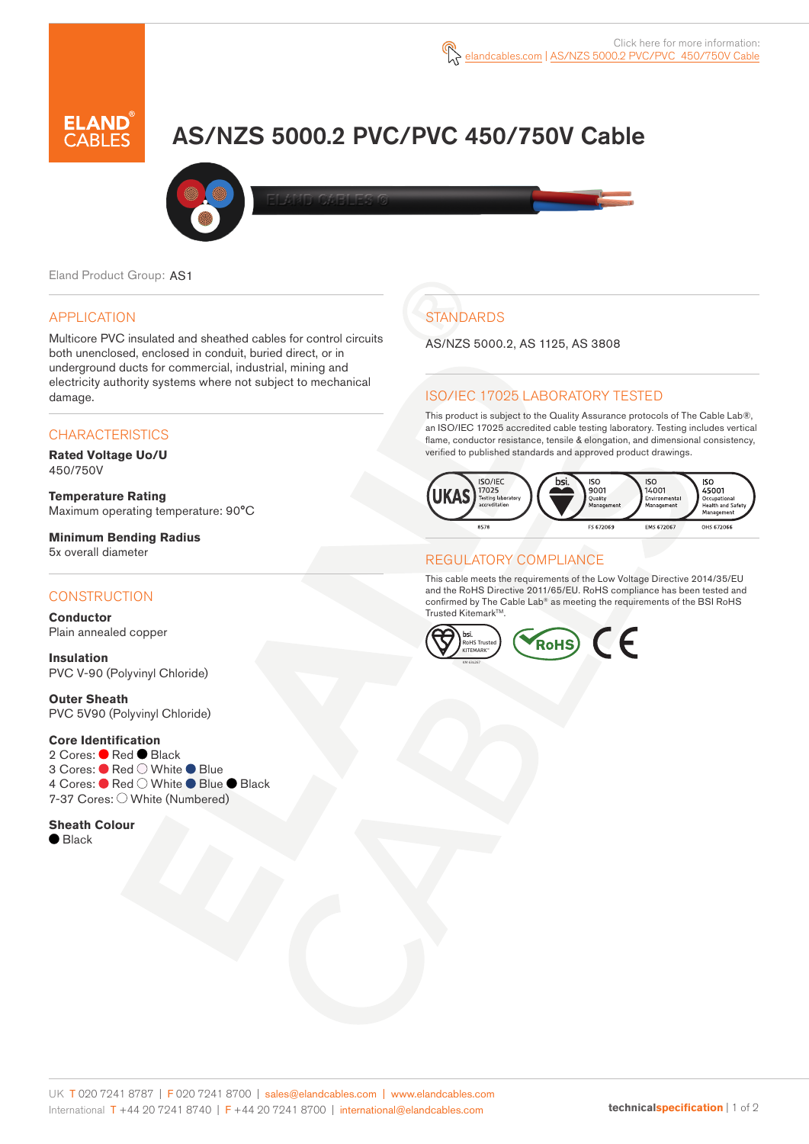# AS/NZS 5000.2 PVC/PVC 450/750V Cable



Eland Product Group: AS1

### APPLICATION

Multicore PVC insulated and sheathed cables for control circuits both unenclosed, enclosed in conduit, buried direct, or in underground ducts for commercial, industrial, mining and electricity authority systems where not subject to mechanical damage.

### **CHARACTERISTICS**

**Rated Voltage Uo/U**  450/750V

**Temperature Rating** Maximum operating temperature: 90°C

**Minimum Bending Radius**  5x overall diameter

#### **CONSTRUCTION**

**Conductor** Plain annealed copper

**Insulation** PVC V-90 (Polyvinyl Chloride)

**Outer Sheath** PVC 5V90 (Polyvinyl Chloride)

#### **Core Identification**

2 Cores: ● Red ● Black 3 Cores: ● Red ○ White ● Blue 4 Cores: ● Red ○ White ● Blue ● Black 7-37 Cores: O White (Numbered)

**Sheath Colour** ● Black

**STANDARDS** 

AS/NZS 5000.2, AS 1125, AS 3808

### ISO/IEC 17025 LABORATORY TESTED

This product is subject to the Quality Assurance protocols of The Cable Lab®, an ISO/IEC 17025 accredited cable testing laboratory. Testing includes vertical flame, conductor resistance, tensile & elongation, and dimensional consistency, verified to published standards and approved product drawings.



#### REGULATORY COMPLIANCE

This cable meets the requirements of the Low Voltage Directive 2014/35/EU and the RoHS Directive 2011/65/EU. RoHS compliance has been tested and confirmed by The Cable Lab® as meeting the requirements of the BSI RoHS Trusted Kitemark™.